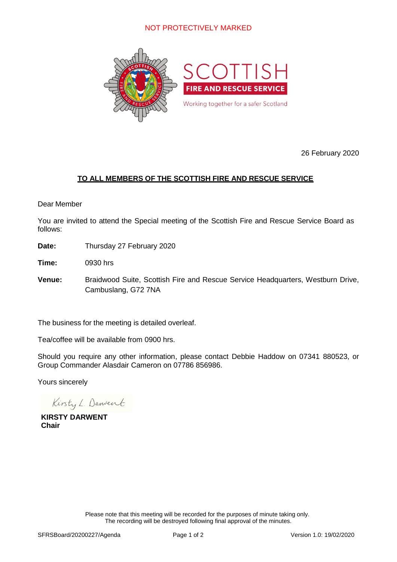

26 February 2020

# **TO ALL MEMBERS OF THE SCOTTISH FIRE AND RESCUE SERVICE**

#### Dear Member

You are invited to attend the Special meeting of the Scottish Fire and Rescue Service Board as follows:

**Date:** Thursday 27 February 2020

**Time:** 0930 hrs

**Venue:** Braidwood Suite, Scottish Fire and Rescue Service Headquarters, Westburn Drive, Cambuslang, G72 7NA

The business for the meeting is detailed overleaf.

Tea/coffee will be available from 0900 hrs.

Should you require any other information, please contact Debbie Haddow on 07341 880523, or Group Commander Alasdair Cameron on 07786 856986.

Yours sincerely

Kirsty L. Danvent

**KIRSTY DARWENT Chair**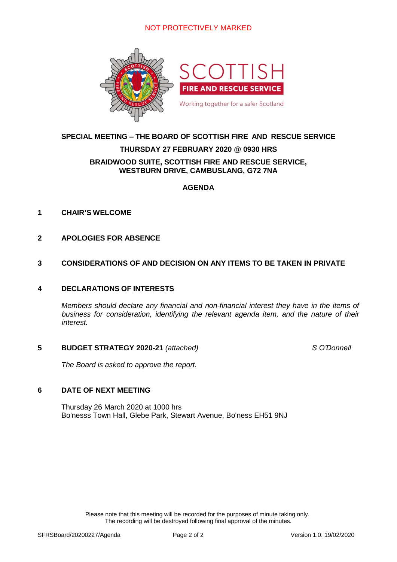

#### **SPECIAL MEETING – THE BOARD OF SCOTTISH FIRE AND RESCUE SERVICE**

#### **THURSDAY 27 FEBRUARY 2020 @ 0930 HRS**

#### **BRAIDWOOD SUITE, SCOTTISH FIRE AND RESCUE SERVICE, WESTBURN DRIVE, CAMBUSLANG, G72 7NA**

#### **AGENDA**

#### **1 CHAIR'S WELCOME**

**2 APOLOGIES FOR ABSENCE**

#### **3 CONSIDERATIONS OF AND DECISION ON ANY ITEMS TO BE TAKEN IN PRIVATE**

#### **4 DECLARATIONS OF INTERESTS**

*Members should declare any financial and non-financial interest they have in the items of business for consideration, identifying the relevant agenda item, and the nature of their interest.*

#### **5 BUDGET STRATEGY 2020-21** *(attached) S O'Donnell*

*The Board is asked to approve the report.*

#### **6 DATE OF NEXT MEETING**

Thursday 26 March 2020 at 1000 hrs Bo'nesss Town Hall, Glebe Park, Stewart Avenue, Bo'ness EH51 9NJ

> Please note that this meeting will be recorded for the purposes of minute taking only. The recording will be destroyed following final approval of the minutes.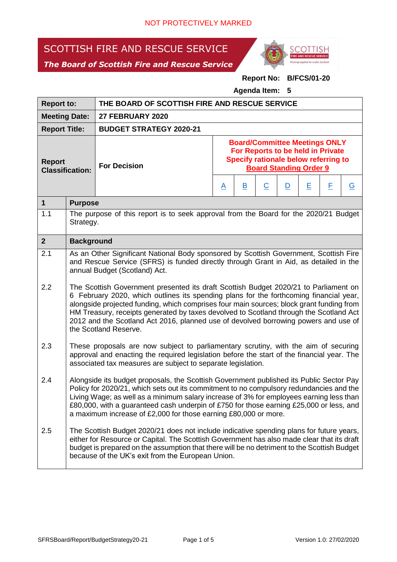# SCOTTISH FIRE AND RESCUE SERVICE

*The Board of Scottish Fire and Rescue Service*



# **Report No: B/FCS/01-20**

**Agenda Item: 5**

| <b>Report to:</b>                       |                                                                                                                                                                                                                                                                                                                                                                                                                                                                                                                                                                                                                                                                                                         | THE BOARD OF SCOTTISH FIRE AND RESCUE SERVICE |          |                                                                                                                                                    |                |                         |   |   |                          |  |
|-----------------------------------------|---------------------------------------------------------------------------------------------------------------------------------------------------------------------------------------------------------------------------------------------------------------------------------------------------------------------------------------------------------------------------------------------------------------------------------------------------------------------------------------------------------------------------------------------------------------------------------------------------------------------------------------------------------------------------------------------------------|-----------------------------------------------|----------|----------------------------------------------------------------------------------------------------------------------------------------------------|----------------|-------------------------|---|---|--------------------------|--|
| <b>Meeting Date:</b>                    |                                                                                                                                                                                                                                                                                                                                                                                                                                                                                                                                                                                                                                                                                                         | <b>27 FEBRUARY 2020</b>                       |          |                                                                                                                                                    |                |                         |   |   |                          |  |
| <b>Report Title:</b>                    |                                                                                                                                                                                                                                                                                                                                                                                                                                                                                                                                                                                                                                                                                                         | <b>BUDGET STRATEGY 2020-21</b>                |          |                                                                                                                                                    |                |                         |   |   |                          |  |
| <b>Report</b><br><b>Classification:</b> |                                                                                                                                                                                                                                                                                                                                                                                                                                                                                                                                                                                                                                                                                                         | <b>For Decision</b>                           |          | <b>Board/Committee Meetings ONLY</b><br>For Reports to be held in Private<br>Specify rationale below referring to<br><b>Board Standing Order 9</b> |                |                         |   |   |                          |  |
|                                         |                                                                                                                                                                                                                                                                                                                                                                                                                                                                                                                                                                                                                                                                                                         |                                               | <u>A</u> | <u>B</u>                                                                                                                                           | $\overline{C}$ | $\overline{\mathsf{D}}$ | Ε | E | $\underline{\mathsf{G}}$ |  |
| $\mathbf 1$                             | <b>Purpose</b>                                                                                                                                                                                                                                                                                                                                                                                                                                                                                                                                                                                                                                                                                          |                                               |          |                                                                                                                                                    |                |                         |   |   |                          |  |
| 1.1                                     | The purpose of this report is to seek approval from the Board for the 2020/21 Budget<br>Strategy.                                                                                                                                                                                                                                                                                                                                                                                                                                                                                                                                                                                                       |                                               |          |                                                                                                                                                    |                |                         |   |   |                          |  |
| 2 <sup>1</sup>                          | <b>Background</b>                                                                                                                                                                                                                                                                                                                                                                                                                                                                                                                                                                                                                                                                                       |                                               |          |                                                                                                                                                    |                |                         |   |   |                          |  |
| 2.1<br>2.2                              | As an Other Significant National Body sponsored by Scottish Government, Scottish Fire<br>and Rescue Service (SFRS) is funded directly through Grant in Aid, as detailed in the<br>annual Budget (Scotland) Act.<br>The Scottish Government presented its draft Scottish Budget 2020/21 to Parliament on<br>6 February 2020, which outlines its spending plans for the forthcoming financial year,<br>alongside projected funding, which comprises four main sources; block grant funding from<br>HM Treasury, receipts generated by taxes devolved to Scotland through the Scotland Act<br>2012 and the Scotland Act 2016, planned use of devolved borrowing powers and use of<br>the Scotland Reserve. |                                               |          |                                                                                                                                                    |                |                         |   |   |                          |  |
| 2.3                                     | These proposals are now subject to parliamentary scrutiny, with the aim of securing<br>approval and enacting the required legislation before the start of the financial year. The<br>associated tax measures are subject to separate legislation.                                                                                                                                                                                                                                                                                                                                                                                                                                                       |                                               |          |                                                                                                                                                    |                |                         |   |   |                          |  |
| 2.4                                     | Alongside its budget proposals, the Scottish Government published its Public Sector Pay<br>Policy for 2020/21, which sets out its commitment to no compulsory redundancies and the<br>Living Wage; as well as a minimum salary increase of 3% for employees earning less than<br>£80,000, with a guaranteed cash underpin of £750 for those earning £25,000 or less, and<br>a maximum increase of £2,000 for those earning £80,000 or more.                                                                                                                                                                                                                                                             |                                               |          |                                                                                                                                                    |                |                         |   |   |                          |  |
| 2.5                                     | The Scottish Budget 2020/21 does not include indicative spending plans for future years,<br>either for Resource or Capital. The Scottish Government has also made clear that its draft<br>budget is prepared on the assumption that there will be no detriment to the Scottish Budget<br>because of the UK's exit from the European Union.                                                                                                                                                                                                                                                                                                                                                              |                                               |          |                                                                                                                                                    |                |                         |   |   |                          |  |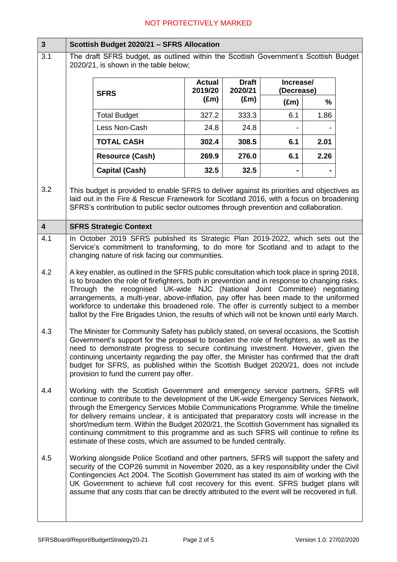| $\mathbf{3}$            | Scottish Budget 2020/21 - SFRS Allocation                                                                                                                                                                                                                                                                                                                                                                                                                                                                                                                                                                            |                                                                                                                                                                                                                         |                          |                         |                         |      |  |  |
|-------------------------|----------------------------------------------------------------------------------------------------------------------------------------------------------------------------------------------------------------------------------------------------------------------------------------------------------------------------------------------------------------------------------------------------------------------------------------------------------------------------------------------------------------------------------------------------------------------------------------------------------------------|-------------------------------------------------------------------------------------------------------------------------------------------------------------------------------------------------------------------------|--------------------------|-------------------------|-------------------------|------|--|--|
| 3.1                     | The draft SFRS budget, as outlined within the Scottish Government's Scottish Budget<br>2020/21, is shown in the table below;                                                                                                                                                                                                                                                                                                                                                                                                                                                                                         |                                                                                                                                                                                                                         |                          |                         |                         |      |  |  |
|                         |                                                                                                                                                                                                                                                                                                                                                                                                                                                                                                                                                                                                                      | <b>SFRS</b>                                                                                                                                                                                                             | <b>Actual</b><br>2019/20 | <b>Draft</b><br>2020/21 | Increase/<br>(Decrease) |      |  |  |
|                         |                                                                                                                                                                                                                                                                                                                                                                                                                                                                                                                                                                                                                      |                                                                                                                                                                                                                         | $(\text{Em})$            | $(\text{Em})$           | $(\text{Em})$           | %    |  |  |
|                         |                                                                                                                                                                                                                                                                                                                                                                                                                                                                                                                                                                                                                      | <b>Total Budget</b>                                                                                                                                                                                                     | 327.2                    | 333.3                   | 6.1                     | 1.86 |  |  |
|                         |                                                                                                                                                                                                                                                                                                                                                                                                                                                                                                                                                                                                                      | Less Non-Cash                                                                                                                                                                                                           | 24.8                     | 24.8                    |                         |      |  |  |
|                         |                                                                                                                                                                                                                                                                                                                                                                                                                                                                                                                                                                                                                      | <b>TOTAL CASH</b>                                                                                                                                                                                                       | 302.4                    | 308.5                   | 6.1                     | 2.01 |  |  |
|                         |                                                                                                                                                                                                                                                                                                                                                                                                                                                                                                                                                                                                                      | <b>Resource (Cash)</b>                                                                                                                                                                                                  | 269.9                    | 276.0                   | 6.1                     | 2.26 |  |  |
|                         |                                                                                                                                                                                                                                                                                                                                                                                                                                                                                                                                                                                                                      | <b>Capital (Cash)</b>                                                                                                                                                                                                   | 32.5                     | 32.5                    |                         |      |  |  |
| 3.2                     | This budget is provided to enable SFRS to deliver against its priorities and objectives as<br>laid out in the Fire & Rescue Framework for Scotland 2016, with a focus on broadening<br>SFRS's contribution to public sector outcomes through prevention and collaboration.                                                                                                                                                                                                                                                                                                                                           |                                                                                                                                                                                                                         |                          |                         |                         |      |  |  |
| $\overline{\mathbf{4}}$ |                                                                                                                                                                                                                                                                                                                                                                                                                                                                                                                                                                                                                      | <b>SFRS Strategic Context</b>                                                                                                                                                                                           |                          |                         |                         |      |  |  |
| 4.1                     |                                                                                                                                                                                                                                                                                                                                                                                                                                                                                                                                                                                                                      | In October 2019 SFRS published its Strategic Plan 2019-2022, which sets out the<br>Service's commitment to transforming, to do more for Scotland and to adapt to the<br>changing nature of risk facing our communities. |                          |                         |                         |      |  |  |
| 4.2                     | A key enabler, as outlined in the SFRS public consultation which took place in spring 2018,<br>is to broaden the role of firefighters, both in prevention and in response to changing risks.<br>Through the recognised UK-wide NJC (National Joint Committee) negotiating<br>arrangements, a multi-year, above-inflation, pay offer has been made to the uniformed<br>workforce to undertake this broadened role. The offer is currently subject to a member<br>ballot by the Fire Brigades Union, the results of which will not be known until early March.                                                         |                                                                                                                                                                                                                         |                          |                         |                         |      |  |  |
| 4.3                     | The Minister for Community Safety has publicly stated, on several occasions, the Scottish<br>Government's support for the proposal to broaden the role of firefighters, as well as the<br>need to demonstrate progress to secure continuing investment. However, given the<br>continuing uncertainty regarding the pay offer, the Minister has confirmed that the draft<br>budget for SFRS, as published within the Scottish Budget 2020/21, does not include<br>provision to fund the current pay offer.                                                                                                            |                                                                                                                                                                                                                         |                          |                         |                         |      |  |  |
| 4.4                     | Working with the Scottish Government and emergency service partners, SFRS will<br>continue to contribute to the development of the UK-wide Emergency Services Network,<br>through the Emergency Services Mobile Communications Programme. While the timeline<br>for delivery remains unclear, it is anticipated that preparatory costs will increase in the<br>short/medium term. Within the Budget 2020/21, the Scottish Government has signalled its<br>continuing commitment to this programme and as such SFRS will continue to refine its<br>estimate of these costs, which are assumed to be funded centrally. |                                                                                                                                                                                                                         |                          |                         |                         |      |  |  |
| 4.5                     | Working alongside Police Scotland and other partners, SFRS will support the safety and<br>security of the COP26 summit in November 2020, as a key responsibility under the Civil<br>Contingencies Act 2004. The Scottish Government has stated its aim of working with the<br>UK Government to achieve full cost recovery for this event. SFRS budget plans will<br>assume that any costs that can be directly attributed to the event will be recovered in full.                                                                                                                                                    |                                                                                                                                                                                                                         |                          |                         |                         |      |  |  |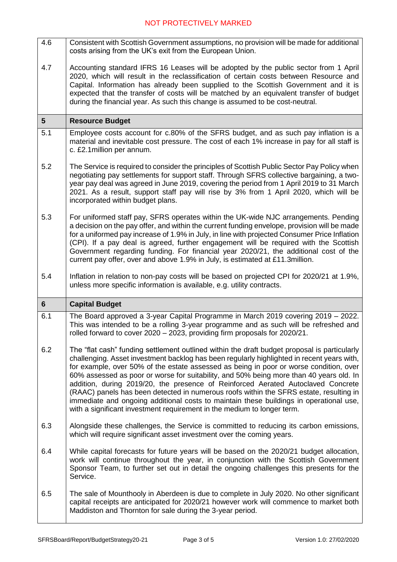- 4.6 Consistent with Scottish Government assumptions, no provision will be made for additional costs arising from the UK's exit from the European Union.
- 4.7 Accounting standard IFRS 16 Leases will be adopted by the public sector from 1 April 2020, which will result in the reclassification of certain costs between Resource and Capital. Information has already been supplied to the Scottish Government and it is expected that the transfer of costs will be matched by an equivalent transfer of budget during the financial year. As such this change is assumed to be cost-neutral.

#### **5 Resource Budget**

- 5.1 Employee costs account for c.80% of the SFRS budget, and as such pay inflation is a material and inevitable cost pressure. The cost of each 1% increase in pay for all staff is c. £2.1million per annum.
- 5.2 The Service is required to consider the principles of Scottish Public Sector Pay Policy when negotiating pay settlements for support staff. Through SFRS collective bargaining, a twoyear pay deal was agreed in June 2019, covering the period from 1 April 2019 to 31 March 2021. As a result, support staff pay will rise by 3% from 1 April 2020, which will be incorporated within budget plans.
- 5.3 For uniformed staff pay, SFRS operates within the UK-wide NJC arrangements. Pending a decision on the pay offer, and within the current funding envelope, provision will be made for a uniformed pay increase of 1.9% in July, in line with projected Consumer Price Inflation (CPI). If a pay deal is agreed, further engagement will be required with the Scottish Government regarding funding. For financial year 2020/21, the additional cost of the current pay offer, over and above 1.9% in July, is estimated at £11.3million.
- 5.4 Inflation in relation to non-pay costs will be based on projected CPI for 2020/21 at 1.9%, unless more specific information is available, e.g. utility contracts.

| $\overline{\bullet}$ | <b>Capital Budget</b>                                                                                                                                                                                                                                                                                                                                                                                                                                                                                                                                                                                                                                                                                                              |
|----------------------|------------------------------------------------------------------------------------------------------------------------------------------------------------------------------------------------------------------------------------------------------------------------------------------------------------------------------------------------------------------------------------------------------------------------------------------------------------------------------------------------------------------------------------------------------------------------------------------------------------------------------------------------------------------------------------------------------------------------------------|
| 6.1                  | The Board approved a 3-year Capital Programme in March 2019 covering 2019 - 2022.<br>This was intended to be a rolling 3-year programme and as such will be refreshed and<br>rolled forward to cover 2020 - 2023, providing firm proposals for 2020/21.                                                                                                                                                                                                                                                                                                                                                                                                                                                                            |
| 6.2                  | The "flat cash" funding settlement outlined within the draft budget proposal is particularly<br>challenging. Asset investment backlog has been regularly highlighted in recent years with,<br>for example, over 50% of the estate assessed as being in poor or worse condition, over<br>60% assessed as poor or worse for suitability, and 50% being more than 40 years old. In<br>addition, during 2019/20, the presence of Reinforced Aerated Autoclaved Concrete<br>(RAAC) panels has been detected in numerous roofs within the SFRS estate, resulting in<br>immediate and ongoing additional costs to maintain these buildings in operational use,<br>with a significant investment requirement in the medium to longer term. |
| 6.3                  | Alongside these challenges, the Service is committed to reducing its carbon emissions,<br>which will require significant asset investment over the coming years.                                                                                                                                                                                                                                                                                                                                                                                                                                                                                                                                                                   |
| 6.4                  | While capital forecasts for future years will be based on the 2020/21 budget allocation,<br>work will continue throughout the year, in conjunction with the Scottish Government<br>Sponsor Team, to further set out in detail the ongoing challenges this presents for the<br>Service.                                                                                                                                                                                                                                                                                                                                                                                                                                             |
| 6.5                  | The sale of Mounthooly in Aberdeen is due to complete in July 2020. No other significant<br>capital receipts are anticipated for 2020/21 however work will commence to market both<br>Maddiston and Thornton for sale during the 3-year period.                                                                                                                                                                                                                                                                                                                                                                                                                                                                                    |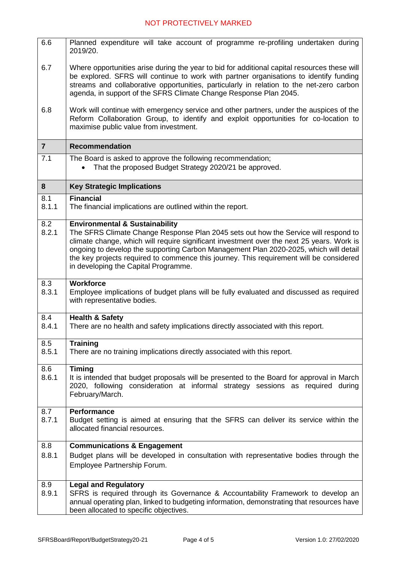| 6.6            | Planned expenditure will take account of programme re-profiling undertaken during<br>2019/20.                                                                                                                                                                                                                                                                                                                                                             |  |  |  |  |
|----------------|-----------------------------------------------------------------------------------------------------------------------------------------------------------------------------------------------------------------------------------------------------------------------------------------------------------------------------------------------------------------------------------------------------------------------------------------------------------|--|--|--|--|
| 6.7            | Where opportunities arise during the year to bid for additional capital resources these will<br>be explored. SFRS will continue to work with partner organisations to identify funding<br>streams and collaborative opportunities, particularly in relation to the net-zero carbon<br>agenda, in support of the SFRS Climate Change Response Plan 2045.                                                                                                   |  |  |  |  |
| 6.8            | Work will continue with emergency service and other partners, under the auspices of the<br>Reform Collaboration Group, to identify and exploit opportunities for co-location to<br>maximise public value from investment.                                                                                                                                                                                                                                 |  |  |  |  |
| $\overline{7}$ | <b>Recommendation</b>                                                                                                                                                                                                                                                                                                                                                                                                                                     |  |  |  |  |
| 7.1            | The Board is asked to approve the following recommendation;<br>That the proposed Budget Strategy 2020/21 be approved.                                                                                                                                                                                                                                                                                                                                     |  |  |  |  |
| 8              | <b>Key Strategic Implications</b>                                                                                                                                                                                                                                                                                                                                                                                                                         |  |  |  |  |
| 8.1<br>8.1.1   | Financial<br>The financial implications are outlined within the report.                                                                                                                                                                                                                                                                                                                                                                                   |  |  |  |  |
| 8.2<br>8.2.1   | <b>Environmental &amp; Sustainability</b><br>The SFRS Climate Change Response Plan 2045 sets out how the Service will respond to<br>climate change, which will require significant investment over the next 25 years. Work is<br>ongoing to develop the supporting Carbon Management Plan 2020-2025, which will detail<br>the key projects required to commence this journey. This requirement will be considered<br>in developing the Capital Programme. |  |  |  |  |
| 8.3<br>8.3.1   | Workforce<br>Employee implications of budget plans will be fully evaluated and discussed as required<br>with representative bodies.                                                                                                                                                                                                                                                                                                                       |  |  |  |  |
| 8.4<br>8.4.1   | <b>Health &amp; Safety</b><br>There are no health and safety implications directly associated with this report.                                                                                                                                                                                                                                                                                                                                           |  |  |  |  |
| 8.5<br>8.5.1   | <b>Training</b><br>There are no training implications directly associated with this report.                                                                                                                                                                                                                                                                                                                                                               |  |  |  |  |
| 8.6<br>8.6.1   | <b>Timing</b><br>It is intended that budget proposals will be presented to the Board for approval in March<br>2020, following consideration at informal strategy sessions as required during<br>February/March.                                                                                                                                                                                                                                           |  |  |  |  |
| 8.7<br>8.7.1   | <b>Performance</b><br>Budget setting is aimed at ensuring that the SFRS can deliver its service within the<br>allocated financial resources.                                                                                                                                                                                                                                                                                                              |  |  |  |  |
| 8.8            | <b>Communications &amp; Engagement</b>                                                                                                                                                                                                                                                                                                                                                                                                                    |  |  |  |  |
| 8.8.1          | Budget plans will be developed in consultation with representative bodies through the<br>Employee Partnership Forum.                                                                                                                                                                                                                                                                                                                                      |  |  |  |  |
| 8.9            | <b>Legal and Regulatory</b>                                                                                                                                                                                                                                                                                                                                                                                                                               |  |  |  |  |
| 8.9.1          | SFRS is required through its Governance & Accountability Framework to develop an<br>annual operating plan, linked to budgeting information, demonstrating that resources have<br>been allocated to specific objectives.                                                                                                                                                                                                                                   |  |  |  |  |